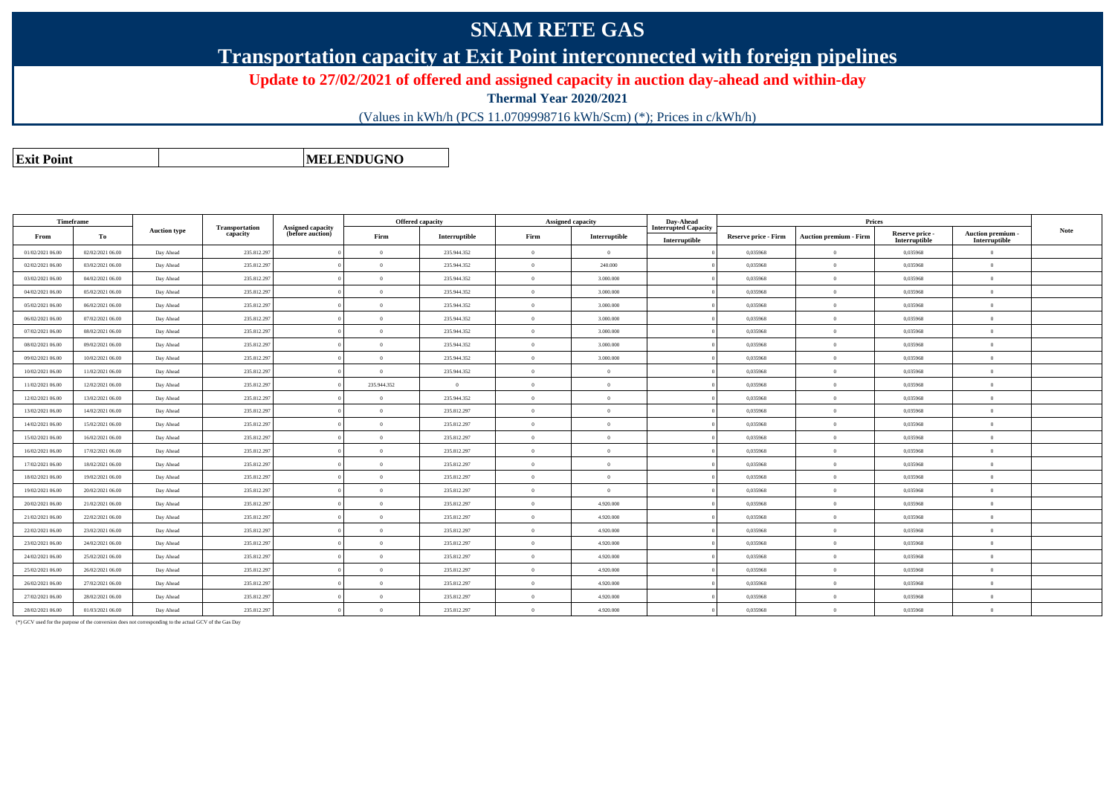### **SNAM RETE GAS**

### **Transportation capacity at Exit Point interconnected with foreign pipelines**

#### **Update to 27/02/2021 of offered and assigned capacity in auction day-ahead and within-day**

**Thermal Year 2020/2021**

(Values in kWh/h (PCS 11.0709998716 kWh/Scm) (\*); Prices in c/kWh/h)

**Exit PointMELENDUGNO**

|                  | Timeframe        |                     |                                   |                                              | Offered capacity |               |          | <b>Assigned capacity</b> | Day-Ahead                                    |                      |                               |                                  |                                         |             |
|------------------|------------------|---------------------|-----------------------------------|----------------------------------------------|------------------|---------------|----------|--------------------------|----------------------------------------------|----------------------|-------------------------------|----------------------------------|-----------------------------------------|-------------|
| From             | To               | <b>Auction type</b> | <b>Transportation</b><br>capacity | <b>Assigned capacity</b><br>(before auction) | Firm             | Interruptible | Firm     | Interruptible            | <b>Interrupted Capacity</b><br>Interruptible | Reserve price - Firm | <b>Auction premium - Firm</b> | Reserve price -<br>Interruptible | <b>Auction premium</b><br>Interruptible | <b>Note</b> |
| 01/02/2021 06:00 | 02/02/2021 06:00 | Day Ahead           | 235.812.297                       |                                              | $\Omega$         | 235.944.352   | $\Omega$ | $\Omega$                 |                                              | 0,035968             | $\overline{0}$                | 0,035968                         | $\theta$                                |             |
| 02/02/2021 06:00 | 03/02/2021 06:00 | Day Ahead           | 235.812.297                       |                                              | $\Omega$         | 235.944.352   |          | 240,000                  |                                              | 0.035968             | $\overline{0}$                | 0.035968                         | $\overline{0}$                          |             |
| 03/02/2021 06:00 | 04/02/2021 06:00 | Day Ahead           | 235.812.297                       |                                              | $\Omega$         | 235.944.352   |          | 3.000.000                |                                              | 0,035968             | $\theta$                      | 0,035968                         | $\theta$                                |             |
| 04/02/2021 06:00 | 05/02/2021 06:00 | Day Ahead           | 235.812.297                       |                                              | $\Omega$         | 235.944.352   |          | 3.000,000                |                                              | 0.035968             | $\theta$                      | 0.035968                         | $\theta$                                |             |
| 05/02/2021 06:00 | 06/02/2021 06:00 | Day Ahead           | 235.812.297                       |                                              | $\Omega$         | 235.944.352   |          | 3.000.000                |                                              | 0,035968             | $\theta$                      | 0,035968                         | $\theta$                                |             |
| 06/02/2021 06:00 | 07/02/2021 06:00 | Day Ahead           | 235.812.297                       |                                              | $\Omega$         | 235.944.352   | $\Omega$ | 3.000,000                |                                              | 0.035968             | $\theta$                      | 0,035968                         | $\Omega$                                |             |
| 07/02/2021 06:00 | 08/02/2021 06:00 | Day Ahead           | 235.812.297                       |                                              | $\Omega$         | 235.944.352   | $\Omega$ | 3.000.000                |                                              | 0,035968             | $\overline{0}$                | 0,035968                         | $\overline{0}$                          |             |
| 08/02/2021 06:00 | 09/02/2021 06:00 | Day Ahead           | 235.812.297                       |                                              | $\theta$         | 235.944.352   |          | 3.000.000                |                                              | 0.035968             | $\overline{0}$                | 0,035968                         | $\overline{0}$                          |             |
| 09/02/2021 06:00 | 10/02/2021 06:00 | Day Ahead           | 235.812.297                       |                                              | $\Omega$         | 235.944.352   |          | 3.000.000                |                                              | 0.035968             | $\overline{0}$                | 0.035968                         | $\overline{0}$                          |             |
| 10/02/2021 06:00 | 11/02/2021 06:00 | Day Ahead           | 235.812.297                       |                                              | $\Omega$         | 235.944.352   |          | $\theta$                 |                                              | 0,035968             | $\theta$                      | 0.035968                         | $\theta$                                |             |
| 11/02/2021 06:00 | 12/02/2021 06:00 | Day Ahead           | 235.812.297                       |                                              | 235.944.352      | $\Omega$      |          | $\Omega$                 |                                              | 0,035968             | $\theta$                      | 0,035968                         | $\theta$                                |             |
| 12/02/2021 06:00 | 13/02/2021 06:00 | Day Ahead           | 235.812.297                       |                                              | $\theta$         | 235.944.352   |          | $\overline{0}$           |                                              | 0,035968             | $\overline{0}$                | 0,035968                         | $\overline{0}$                          |             |
| 13/02/2021 06:00 | 14/02/2021 06:00 | Day Ahead           | 235.812.297                       |                                              | $\Omega$         | 235.812.297   |          | $\Omega$                 |                                              | 0.035968             | $\theta$                      | 0.035968                         | $\Omega$                                |             |
| 14/02/2021 06:00 | 15/02/2021 06:00 | Day Ahead           | 235.812.297                       |                                              | $\Omega$         | 235.812.297   |          | $\theta$                 |                                              | 0,035968             | $\theta$                      | 0,035968                         | $\theta$                                |             |
| 15/02/2021 06:00 | 16/02/2021 06:00 | Day Ahead           | 235.812.297                       |                                              | $\Omega$         | 235.812.297   | $\Omega$ | $\Omega$                 |                                              | 0.035968             | $\overline{0}$                | 0.035968                         | $\theta$                                |             |
| 16/02/2021 06:00 | 17/02/2021 06:00 | Day Ahead           | 235.812.297                       |                                              | $\Omega$         | 235.812.297   | $\Omega$ | $\overline{0}$           |                                              | 0,035968             | $\overline{0}$                | 0,035968                         | $\overline{0}$                          |             |
| 17/02/2021 06:00 | 18/02/2021 06:00 | Day Ahead           | 235.812.297                       |                                              | $\Omega$         | 235.812.297   |          | $\Omega$                 |                                              | 0.035968             | $\theta$                      | 0.035968                         | $\Omega$                                |             |
| 18/02/2021 06:00 | 19/02/2021 06:00 | Day Ahead           | 235.812.297                       |                                              | $\theta$         | 235.812.297   |          | $\Omega$                 |                                              | 0,035968             | $\theta$                      | 0,035968                         | $\theta$                                |             |
| 19/02/2021 06:00 | 20/02/2021 06:00 | Day Ahead           | 235.812.297                       |                                              | $\Omega$         | 235.812.297   |          | $\overline{0}$           |                                              | 0,035968             | $\theta$                      | 0,035968                         | $\Omega$                                |             |
| 20/02/2021 06:00 | 21/02/2021 06:00 | Day Ahead           | 235.812.297                       |                                              | $\Omega$         | 235.812.297   |          | 4.920.000                |                                              | 0,035968             | $\theta$                      | 0,035968                         | $\theta$                                |             |
| 21/02/2021 06:00 | 22/02/2021 06:00 | Day Ahead           | 235.812.297                       |                                              | $\Omega$         | 235.812.297   |          | 4.920.000                |                                              | 0.035968             | $\theta$                      | 0.035968                         | $\overline{0}$                          |             |
| 22/02/2021 06:00 | 23/02/2021 06:00 | Day Ahead           | 235.812.297                       |                                              | $\theta$         | 235.812.297   | $\Omega$ | 4.920.000                |                                              | 0.035968             | $\overline{0}$                | 0.035968                         | $\theta$                                |             |
| 23/02/2021 06:00 | 24/02/2021 06:00 | Day Ahead           | 235.812.297                       |                                              | $\Omega$         | 235.812.297   | $\Omega$ | 4.920.000                |                                              | 0,035968             | $\overline{0}$                | 0,035968                         | $\overline{0}$                          |             |
| 24/02/2021 06:00 | 25/02/2021 06:00 | Day Ahead           | 235.812.297                       |                                              | $\Omega$         | 235.812.297   |          | 4.920.000                |                                              | 0,035968             | $\theta$                      | 0,035968                         | $\Omega$                                |             |
| 25/02/2021 06:00 | 26/02/2021 06:00 | Day Ahead           | 235.812.297                       |                                              | $\Omega$         | 235.812.297   |          | 4.920.000                |                                              | 0,035968             | $\theta$                      | 0,035968                         | $\theta$                                |             |
| 26/02/2021 06:00 | 27/02/2021 06:00 | Day Ahead           | 235.812.297                       |                                              | $\Omega$         | 235.812.297   |          | 4.920.000                |                                              | 0.035968             | $\overline{0}$                | 0.035968                         | $\overline{0}$                          |             |
| 27/02/2021 06:00 | 28/02/2021 06:00 | Day Ahead           | 235.812.297                       |                                              | $\Omega$         | 235.812.297   |          | 4.920.000                |                                              | 0,035968             | $\theta$                      | 0,035968                         | $\theta$                                |             |
| 28/02/2021 06:00 | 01/03/2021 06:00 | Day Ahead           | 235.812.297                       |                                              | $\Omega$         | 235.812.297   | $\Omega$ | 4.920.000                |                                              | 0.035968             | $\theta$                      | 0.035968                         | $\theta$                                |             |

(\*) GCV used for the purpose of the conversion does not corresponding to the actual GCV of the Gas Day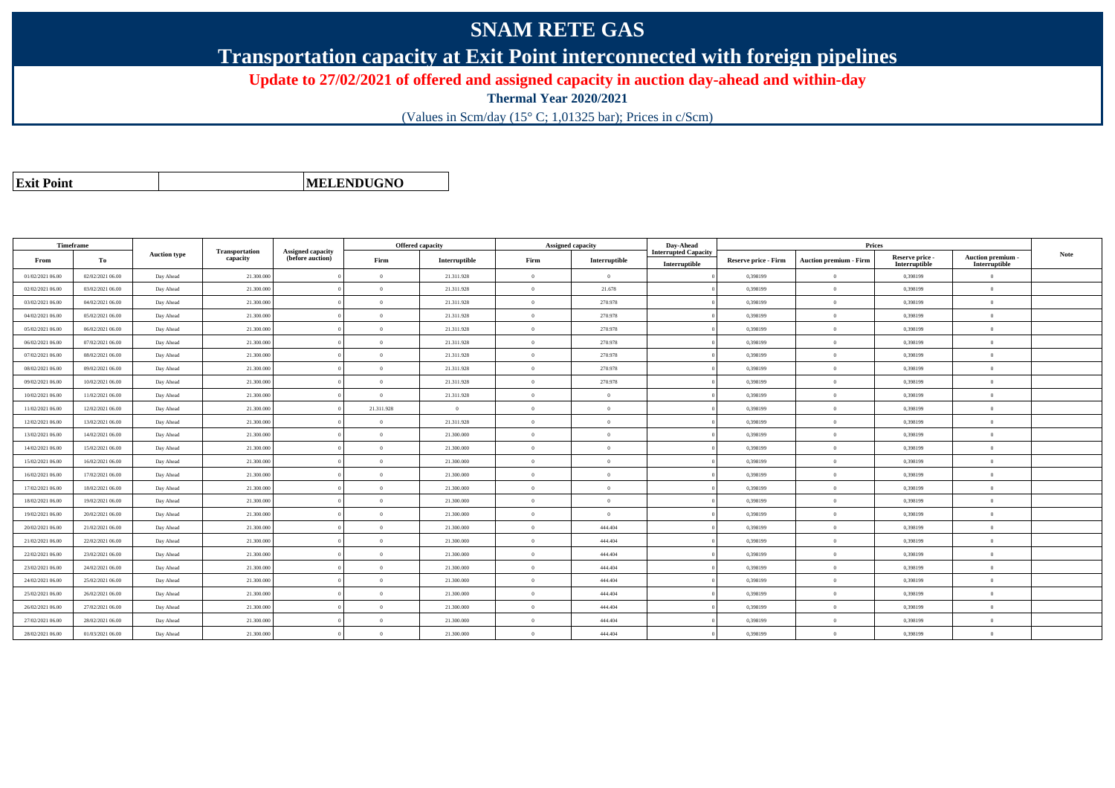# **SNAM RETE GAS**

**Transportation capacity at Exit Point interconnected with foreign pipelines**

**Update to 27/02/2021 of offered and assigned capacity in auction day-ahead and within-day**

**Thermal Year 2020/2021**

(Values in Scm/day (15° C; 1,01325 bar); Prices in c/Scm)

|  | <b>Exit Point</b> |
|--|-------------------|
|  |                   |

**MELENDUGNO**

|                  | Timeframe        |                     |            |                            | <b>Offered capacity</b>                      |            |                | <b>Assigned capacity</b> | Day-Ahead     | Prices                                       |                             |                               |                                  |                                         |             |
|------------------|------------------|---------------------|------------|----------------------------|----------------------------------------------|------------|----------------|--------------------------|---------------|----------------------------------------------|-----------------------------|-------------------------------|----------------------------------|-----------------------------------------|-------------|
| From             | To               | <b>Auction type</b> |            | Transportation<br>capacity | <b>Assigned capacity</b><br>(before auction) | Firm       | Interruptible  | Firm                     | Interruptible | <b>Interrupted Capacity</b><br>Interruptible | <b>Reserve price - Firm</b> | <b>Auction premium - Firm</b> | Reserve price -<br>Interruptible | <b>Auction premium</b><br>Interruptible | <b>Note</b> |
| 01/02/2021 06:00 | 02/02/2021 06:00 | Day Ahead           | 21.300.000 |                            | $\overline{0}$                               | 21.311.928 | $\theta$       | $\theta$                 |               | 0,398199                                     | $\overline{0}$              | 0,398199                      | $\Omega$                         |                                         |             |
| 02/02/2021 06:00 | 03/02/2021 06:00 | Day Ahead           | 21.300.000 |                            | $\Omega$                                     | 21.311.928 | $\theta$       | 21.678                   |               | 0.398199                                     | $\overline{0}$              | 0,398199                      | $\Omega$                         |                                         |             |
| 03/02/2021 06:00 | 04/02/2021 06:00 | Day Ahead           | 21.300.000 |                            | $\theta$                                     | 21.311.928 | $\theta$       | 270.978                  |               | 0.398199                                     | $\overline{0}$              | 0,398199                      | $\theta$                         |                                         |             |
| 04/02/2021 06:00 | 05/02/2021 06:00 | Day Ahead           | 21.300.000 |                            | $\Omega$                                     | 21.311.928 | $\theta$       | 270.978                  |               | 0.398199                                     | $\overline{0}$              | 0,398199                      | $\Omega$                         |                                         |             |
| 05/02/2021 06:00 | 06/02/2021 06:00 | Day Ahead           | 21.300.000 |                            | $\overline{0}$                               | 21.311.928 | $\theta$       | 270.978                  |               | 0.398199                                     | $\overline{0}$              | 0.398199                      | $\overline{0}$                   |                                         |             |
| 06/02/2021 06:00 | 07/02/2021 06:00 | Day Ahead           | 21.300.000 |                            | $\overline{0}$                               | 21.311.928 | $\theta$       | 270.978                  |               | 0.398199                                     | $\overline{0}$              | 0,398199                      | $\overline{0}$                   |                                         |             |
| 07/02/2021 06:00 | 08/02/2021 06:00 | Day Ahead           | 21.300.000 |                            | $\Omega$                                     | 21.311.928 | $\theta$       | 270.978                  |               | 0,398199                                     | $\overline{0}$              | 0,398199                      | $\Omega$                         |                                         |             |
| 08/02/2021 06:00 | 09/02/2021 06:00 | Day Ahead           | 21.300.000 |                            | $\Omega$                                     | 21.311.928 | $\theta$       | 270.978                  |               | 0,398199                                     | $\overline{0}$              | 0,398199                      | $\Omega$                         |                                         |             |
| 09/02/2021 06:00 | 10/02/2021 06:00 | Day Ahead           | 21.300.000 |                            | $\Omega$                                     | 21.311.928 | $\theta$       | 270.978                  |               | 0,398199                                     | $\overline{0}$              | 0,398199                      | $\Omega$                         |                                         |             |
| 10/02/2021 06:00 | 11/02/2021 06:00 | Day Ahead           | 21.300.000 |                            | $\theta$                                     | 21.311.928 | $\theta$       | $\Omega$                 |               | 0,398199                                     | $\overline{0}$              | 0,398199                      | $\overline{0}$                   |                                         |             |
| 11/02/2021 06:00 | 12/02/2021 06:00 | Day Ahead           | 21.300.000 |                            | 21.311.928                                   | $\Omega$   | $\theta$       | $\Omega$                 |               | 0.398199                                     | $\theta$                    | 0,398199                      | $\Omega$                         |                                         |             |
| 12/02/2021 06:00 | 13/02/2021 06:00 | Day Ahead           | 21.300,000 |                            | $\overline{0}$                               | 21.311.928 | $\Omega$       | $\Omega$                 |               | 0.398199                                     | $\overline{0}$              | 0.398199                      | $\Omega$                         |                                         |             |
| 13/02/2021 06:00 | 14/02/2021 06:00 | Day Ahead           | 21,300,000 |                            | $\overline{0}$                               | 21,300,000 | $\overline{0}$ | $\overline{0}$           |               | 0.398199                                     | $\overline{0}$              | 0.398199                      | $\theta$                         |                                         |             |
| 14/02/2021 06:00 | 15/02/2021 06:00 | Day Ahead           | 21.300.000 |                            | $\overline{0}$                               | 21.300.000 | $\theta$       | $\Omega$                 |               | 0,398199                                     | $\overline{0}$              | 0,398199                      | $\overline{0}$                   |                                         |             |
| 15/02/2021 06:00 | 16/02/2021 06:00 | Day Ahead           | 21.300.000 |                            | $\theta$                                     | 21.300.000 | $\theta$       | $\Omega$                 |               | 0,398199                                     | $\overline{0}$              | 0,398199                      | $\Omega$                         |                                         |             |
| 16/02/2021 06:00 | 17/02/2021 06:00 | Day Ahead           | 21.300.000 |                            | $\Omega$                                     | 21.300.000 | $\theta$       | $\Omega$                 |               | 0,398199                                     | $\overline{0}$              | 0,398199                      | $\Omega$                         |                                         |             |
| 17/02/2021 06:00 | 18/02/2021 06:00 | Day Ahead           | 21.300,000 |                            | $\overline{0}$                               | 21,300,000 | $\theta$       | $\Omega$                 |               | 0.398199                                     | $\overline{0}$              | 0.398199                      | $\theta$                         |                                         |             |
| 18/02/2021 06:00 | 19/02/2021 06:00 | Day Ahead           | 21.300.000 |                            | $\Omega$                                     | 21.300.000 | $\theta$       | $\Omega$                 |               | 0,398199                                     | $\overline{0}$              | 0,398199                      | $\Omega$                         |                                         |             |
| 19/02/2021 06:00 | 20/02/2021 06:00 | Day Ahead           | 21.300.000 |                            | $\Omega$                                     | 21.300.000 | $\theta$       | $\Omega$                 |               | 0,398199                                     | $\overline{0}$              | 0,398199                      | $\Omega$                         |                                         |             |
| 20/02/2021 06:00 | 21/02/2021 06:00 | Day Ahead           | 21.300,000 |                            | $\overline{0}$                               | 21,300,000 | $\theta$       | 444,404                  |               | 0.398199                                     | $\overline{0}$              | 0.398199                      | $\mathbf{0}$                     |                                         |             |
| 21/02/2021 06:00 | 22/02/2021 06:00 | Day Ahead           | 21.300.000 |                            | $\overline{0}$                               | 21.300.000 | $\theta$       | 444.404                  |               | 0,398199                                     | $\overline{0}$              | 0,398199                      | $\overline{0}$                   |                                         |             |
| 22/02/2021 06:00 | 23/02/2021 06:00 | Day Ahead           | 21.300.000 |                            | $\overline{0}$                               | 21.300.000 | $\theta$       | 444,404                  |               | 0.398199                                     | $\overline{0}$              | 0,398199                      | $\theta$                         |                                         |             |
| 23/02/2021 06:00 | 24/02/2021 06:00 | Day Ahead           | 21.300.000 |                            | $\Omega$                                     | 21.300.000 | $\theta$       | 444,404                  |               | 0,398199                                     | $\theta$                    | 0,398199                      | $\Omega$                         |                                         |             |
| 24/02/2021 06:00 | 25/02/2021 06:00 | Day Ahead           | 21.300,000 |                            | $\overline{0}$                               | 21.300.000 | $\theta$       | 444.404                  |               | 0.398199                                     | $\overline{0}$              | 0.398199                      | $\theta$                         |                                         |             |
| 25/02/2021 06:00 | 26/02/2021 06:00 | Day Ahead           | 21.300.000 |                            | $\Omega$                                     | 21.300.000 | $\theta$       | 444,404                  |               | 0.398199                                     | $\overline{0}$              | 0,398199                      | $\overline{0}$                   |                                         |             |
| 26/02/2021 06:00 | 27/02/2021 06:00 | Day Ahead           | 21.300.000 |                            | $\theta$                                     | 21.300.000 | $\theta$       | 444.404                  |               | 0,398199                                     | $\overline{0}$              | 0,398199                      | $\Omega$                         |                                         |             |
| 27/02/2021 06:00 | 28/02/2021 06:00 | Day Ahead           | 21.300.000 |                            | $\Omega$                                     | 21.300.000 | $\theta$       | 444,404                  |               | 0.398199                                     | $\theta$                    | 0.398199                      | $\Omega$                         |                                         |             |
| 28/02/2021 06:00 | 01/03/2021 06:00 | Day Ahead           | 21,300,000 |                            | $\overline{0}$                               | 21,300,000 | $\theta$       | 444,404                  |               | 0.398199                                     | $\bf{0}$                    | 0.398199                      | $\overline{0}$                   |                                         |             |